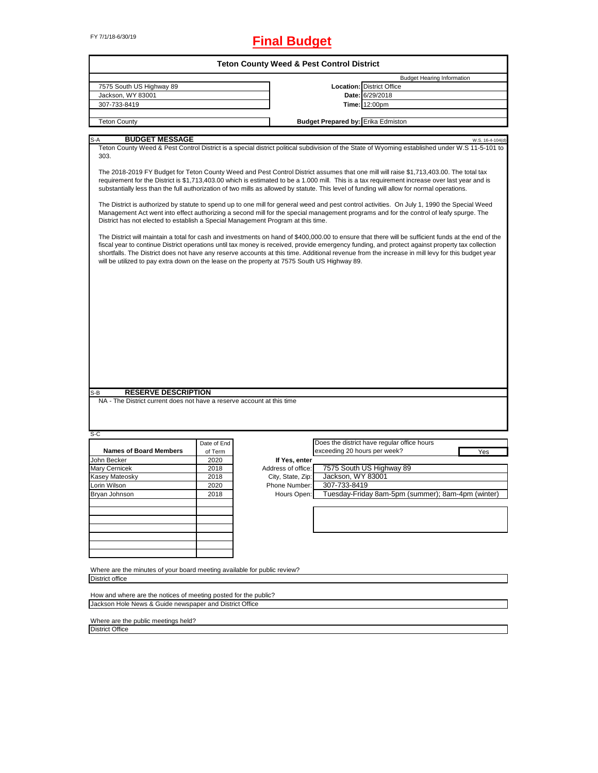# FY 7/1/18-6/30/19 **Final Budget**

| <b>Teton County Weed &amp; Pest Control District</b>                                         |             |                    |                                           |                                                                                                                                                                                                                                                                                                                                                                                                                                                            |                  |  |
|----------------------------------------------------------------------------------------------|-------------|--------------------|-------------------------------------------|------------------------------------------------------------------------------------------------------------------------------------------------------------------------------------------------------------------------------------------------------------------------------------------------------------------------------------------------------------------------------------------------------------------------------------------------------------|------------------|--|
|                                                                                              |             |                    |                                           | <b>Budget Hearing Information</b>                                                                                                                                                                                                                                                                                                                                                                                                                          |                  |  |
| 7575 South US Highway 89                                                                     |             |                    |                                           | <b>Location: District Office</b>                                                                                                                                                                                                                                                                                                                                                                                                                           |                  |  |
| Jackson, WY 83001                                                                            |             |                    |                                           | Date: 6/29/2018                                                                                                                                                                                                                                                                                                                                                                                                                                            |                  |  |
| 307-733-8419                                                                                 |             |                    |                                           | <b>Time: 12:00pm</b>                                                                                                                                                                                                                                                                                                                                                                                                                                       |                  |  |
|                                                                                              |             |                    |                                           |                                                                                                                                                                                                                                                                                                                                                                                                                                                            |                  |  |
| <b>Teton County</b>                                                                          |             |                    | <b>Budget Prepared by: Erika Edmiston</b> |                                                                                                                                                                                                                                                                                                                                                                                                                                                            |                  |  |
|                                                                                              |             |                    |                                           |                                                                                                                                                                                                                                                                                                                                                                                                                                                            |                  |  |
| <b>BUDGET MESSAGE</b><br>S-A<br>303.                                                         |             |                    |                                           | Teton County Weed & Pest Control District is a special district political subdivision of the State of Wyoming established under W.S 11-5-101 to<br>The 2018-2019 FY Budget for Teton County Weed and Pest Control District assumes that one mill will raise \$1,713,403.00. The total tax                                                                                                                                                                  | W.S. 16-4-104(d) |  |
|                                                                                              |             |                    |                                           | requirement for the District is \$1,713,403.00 which is estimated to be a 1.000 mill. This is a tax requirement increase over last year and is<br>substantially less than the full authorization of two mills as allowed by statute. This level of funding will allow for normal operations.                                                                                                                                                               |                  |  |
| District has not elected to establish a Special Management Program at this time.             |             |                    |                                           | The District is authorized by statute to spend up to one mill for general weed and pest control activities. On July 1, 1990 the Special Weed<br>Management Act went into effect authorizing a second mill for the special management programs and for the control of leafy spurge. The                                                                                                                                                                     |                  |  |
| will be utilized to pay extra down on the lease on the property at 7575 South US Highway 89. |             |                    |                                           | The District will maintain a total for cash and investments on hand of \$400,000.00 to ensure that there will be sufficient funds at the end of the<br>fiscal year to continue District operations until tax money is received, provide emergency funding, and protect against property tax collection<br>shortfalls. The District does not have any reserve accounts at this time. Additional revenue from the increase in mill levy for this budget year |                  |  |
|                                                                                              |             |                    |                                           |                                                                                                                                                                                                                                                                                                                                                                                                                                                            |                  |  |
| <b>RESERVE DESCRIPTION</b><br>S-B                                                            |             |                    |                                           |                                                                                                                                                                                                                                                                                                                                                                                                                                                            |                  |  |
| NA - The District current does not have a reserve account at this time                       |             |                    |                                           |                                                                                                                                                                                                                                                                                                                                                                                                                                                            |                  |  |
| $S-C$                                                                                        |             |                    |                                           |                                                                                                                                                                                                                                                                                                                                                                                                                                                            |                  |  |
|                                                                                              | Date of End |                    |                                           | Does the district have regular office hours                                                                                                                                                                                                                                                                                                                                                                                                                |                  |  |
| <b>Names of Board Members</b>                                                                | of Term     |                    | exceeding 20 hours per week?              |                                                                                                                                                                                                                                                                                                                                                                                                                                                            | Yes              |  |
| John Becker                                                                                  | 2020        | If Yes, enter      |                                           |                                                                                                                                                                                                                                                                                                                                                                                                                                                            |                  |  |
| Mary Cernicek                                                                                | 2018        | Address of office: |                                           | 7575 South US Highway 89                                                                                                                                                                                                                                                                                                                                                                                                                                   |                  |  |
| Kasey Mateosky                                                                               | 2018        | City, State, Zip:  | Jackson, WY 83001                         |                                                                                                                                                                                                                                                                                                                                                                                                                                                            |                  |  |
| Lorin Wilson                                                                                 | 2020        | Phone Number:      | 307-733-8419                              |                                                                                                                                                                                                                                                                                                                                                                                                                                                            |                  |  |
| Bryan Johnson                                                                                | 2018        | Hours Open:        |                                           | Tuesday-Friday 8am-5pm (summer); 8am-4pm (winter)                                                                                                                                                                                                                                                                                                                                                                                                          |                  |  |
|                                                                                              |             |                    |                                           |                                                                                                                                                                                                                                                                                                                                                                                                                                                            |                  |  |
|                                                                                              |             |                    |                                           |                                                                                                                                                                                                                                                                                                                                                                                                                                                            |                  |  |
|                                                                                              |             |                    |                                           |                                                                                                                                                                                                                                                                                                                                                                                                                                                            |                  |  |
|                                                                                              |             |                    |                                           |                                                                                                                                                                                                                                                                                                                                                                                                                                                            |                  |  |
|                                                                                              |             |                    |                                           |                                                                                                                                                                                                                                                                                                                                                                                                                                                            |                  |  |
|                                                                                              |             |                    |                                           |                                                                                                                                                                                                                                                                                                                                                                                                                                                            |                  |  |
|                                                                                              |             |                    |                                           |                                                                                                                                                                                                                                                                                                                                                                                                                                                            |                  |  |
| Where are the minutes of your board meeting available for public review?                     |             |                    |                                           |                                                                                                                                                                                                                                                                                                                                                                                                                                                            |                  |  |
| <b>District office</b>                                                                       |             |                    |                                           |                                                                                                                                                                                                                                                                                                                                                                                                                                                            |                  |  |
|                                                                                              |             |                    |                                           |                                                                                                                                                                                                                                                                                                                                                                                                                                                            |                  |  |
| How and where are the notices of meeting posted for the public?                              |             |                    |                                           |                                                                                                                                                                                                                                                                                                                                                                                                                                                            |                  |  |
| Jackson Hole News & Guide newspaper and District Office                                      |             |                    |                                           |                                                                                                                                                                                                                                                                                                                                                                                                                                                            |                  |  |
|                                                                                              |             |                    |                                           |                                                                                                                                                                                                                                                                                                                                                                                                                                                            |                  |  |

Where are the public meetings held?

District Office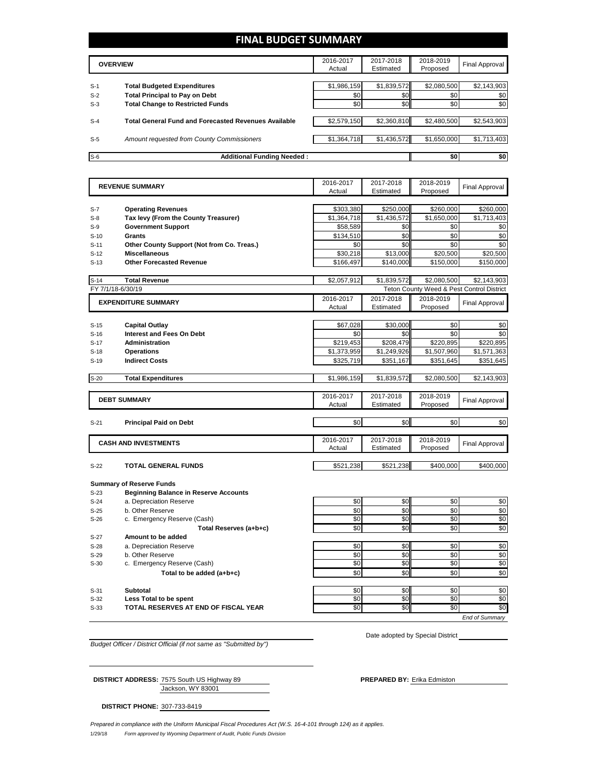# **FINAL BUDGET SUMMARY**

|       | <b>OVERVIEW</b>                                             |             | 2017-2018<br>Estimated | 2018-2019<br>Proposed | Final Approval |
|-------|-------------------------------------------------------------|-------------|------------------------|-----------------------|----------------|
|       |                                                             |             |                        |                       |                |
| $S-1$ | <b>Total Budgeted Expenditures</b>                          | \$1,986,159 | \$1,839,572            | \$2,080,500           | \$2,143,903    |
| $S-2$ | <b>Total Principal to Pay on Debt</b>                       | \$0         | \$0                    | \$0                   | \$0            |
| $S-3$ | <b>Total Change to Restricted Funds</b>                     | \$0         | \$0                    | \$0                   | \$0            |
|       |                                                             |             |                        |                       |                |
| $S-4$ | <b>Total General Fund and Forecasted Revenues Available</b> | \$2,579,150 | \$2,360,810            | \$2,480,500           | \$2,543,903    |
|       |                                                             |             |                        |                       |                |
| $S-5$ | Amount requested from County Commissioners                  | \$1,364,718 | \$1,436,572            | \$1,650,000           | \$1,713,403    |
|       |                                                             |             |                        |                       |                |
| $S-6$ | <b>Additional Funding Needed:</b>                           |             |                        | \$0                   | \$0            |

|        | <b>REVENUE SUMMARY</b>                       | 2016-2017   | 2017-2018      | 2018-2019   | <b>Final Approval</b>                     |
|--------|----------------------------------------------|-------------|----------------|-------------|-------------------------------------------|
|        |                                              | Actual      | Estimated      | Proposed    |                                           |
|        |                                              |             |                |             |                                           |
| $S-7$  | <b>Operating Revenues</b>                    | \$303,380   | \$250.000      | \$260.000   | \$260.000                                 |
| $S-8$  | Tax levy (From the County Treasurer)         | \$1,364,718 | \$1.436.572    | \$1,650,000 | \$1.713.403                               |
| $S-9$  | <b>Government Support</b>                    | \$58,589    | \$0            | \$0         | \$0                                       |
| $S-10$ | Grants                                       | \$134,510   | \$0            | \$0         | \$0                                       |
| $S-11$ | Other County Support (Not from Co. Treas.)   | \$0         | \$0            | \$0         | \$0                                       |
| $S-12$ | <b>Miscellaneous</b>                         | \$30,218    | \$13,000       | \$20,500    | \$20,500                                  |
| $S-13$ | <b>Other Forecasted Revenue</b>              | \$166,497   | \$140,000      | \$150,000   | \$150,000                                 |
|        |                                              |             |                |             |                                           |
| $S-14$ | <b>Total Revenue</b>                         | \$2,057,912 | \$1,839,572    | \$2,080,500 | \$2,143,903                               |
|        | FY 7/1/18-6/30/19                            |             |                |             | Teton County Weed & Pest Control District |
|        | <b>EXPENDITURE SUMMARY</b>                   | 2016-2017   | 2017-2018      | 2018-2019   |                                           |
|        |                                              | Actual      | Estimated      | Proposed    | <b>Final Approval</b>                     |
|        |                                              |             |                |             |                                           |
| $S-15$ | <b>Capital Outlay</b>                        | \$67,028    | \$30,000       | \$0         | \$0                                       |
| $S-16$ | <b>Interest and Fees On Debt</b>             | \$0         | \$0            | \$0         | \$0                                       |
| $S-17$ | <b>Administration</b>                        | \$219,453   | \$208,479      | \$220,895   | \$220,895                                 |
| $S-18$ | <b>Operations</b>                            | \$1,373,959 | \$1,249,926    | \$1,507,960 | \$1,571,363                               |
| $S-19$ | <b>Indirect Costs</b>                        | \$325,719   | \$351,167      | \$351,645   | \$351,645                                 |
|        |                                              |             |                |             |                                           |
| $S-20$ | <b>Total Expenditures</b>                    | \$1,986,159 | \$1,839,572    | \$2,080,500 | \$2,143,903                               |
|        |                                              |             |                |             |                                           |
|        |                                              | 2016-2017   | 2017-2018      | 2018-2019   |                                           |
|        | <b>DEBT SUMMARY</b>                          | Actual      | Estimated      | Proposed    | <b>Final Approval</b>                     |
|        |                                              |             |                |             |                                           |
| $S-21$ | <b>Principal Paid on Debt</b>                | \$0         | \$0            | \$0         | \$0                                       |
|        |                                              |             |                |             |                                           |
|        | <b>CASH AND INVESTMENTS</b>                  | 2016-2017   | 2017-2018      | 2018-2019   |                                           |
|        |                                              | Actual      | Estimated      | Proposed    | <b>Final Approval</b>                     |
|        |                                              |             |                |             |                                           |
| $S-22$ | <b>TOTAL GENERAL FUNDS</b>                   | \$521,238   | \$521,238      | \$400.000   | \$400.000                                 |
|        |                                              |             |                |             |                                           |
|        | <b>Summary of Reserve Funds</b>              |             |                |             |                                           |
| $S-23$ | <b>Beginning Balance in Reserve Accounts</b> |             |                |             |                                           |
| $S-24$ | a. Depreciation Reserve                      | \$0         | \$0            | \$0         | \$0                                       |
| $S-25$ | b. Other Reserve                             | \$0         | \$0            | \$0         | $\overline{50}$                           |
| $S-26$ | c. Emergency Reserve (Cash)                  | \$0         | S <sub>0</sub> | \$0         | \$0                                       |
|        | Total Reserves (a+b+c)                       | \$0         | \$0            | \$0         | \$0                                       |
| $S-27$ | Amount to be added                           |             |                |             |                                           |
| $S-28$ | a. Depreciation Reserve                      | \$0         | \$0            | \$0         | \$0                                       |
| $S-29$ | b. Other Reserve                             | \$0         | \$0            | \$0         | \$0                                       |
| $S-30$ | c. Emergency Reserve (Cash)                  | \$0         | S <sub>0</sub> | \$0         | \$0                                       |
|        | Total to be added (a+b+c)                    | \$0         | \$0            | \$0         | \$0                                       |
|        |                                              |             |                |             |                                           |
| $S-31$ | <b>Subtotal</b>                              | \$0         | \$0            | \$0         | \$0                                       |
| $S-32$ | Less Total to be spent                       | \$0         | \$0            | \$0         | \$0                                       |
| $S-33$ | TOTAL RESERVES AT END OF FISCAL YEAR         | \$0         | \$0            | \$0         | \$0                                       |
|        |                                              |             |                |             | <b>End of Summary</b>                     |
|        |                                              |             |                |             |                                           |

*Budget Officer / District Official (if not same as "Submitted by")*

Jackson, WY 83001 **DISTRICT ADDRESS:** 7575 South US Highway 89 **PREPARED BY:** Erika Edmiston

Date adopted by Special District

**DISTRICT PHONE:** 307-733-8419

1/29/18 *Form approved by Wyoming Department of Audit, Public Funds Division Prepared in compliance with the Uniform Municipal Fiscal Procedures Act (W.S. 16-4-101 through 124) as it applies.*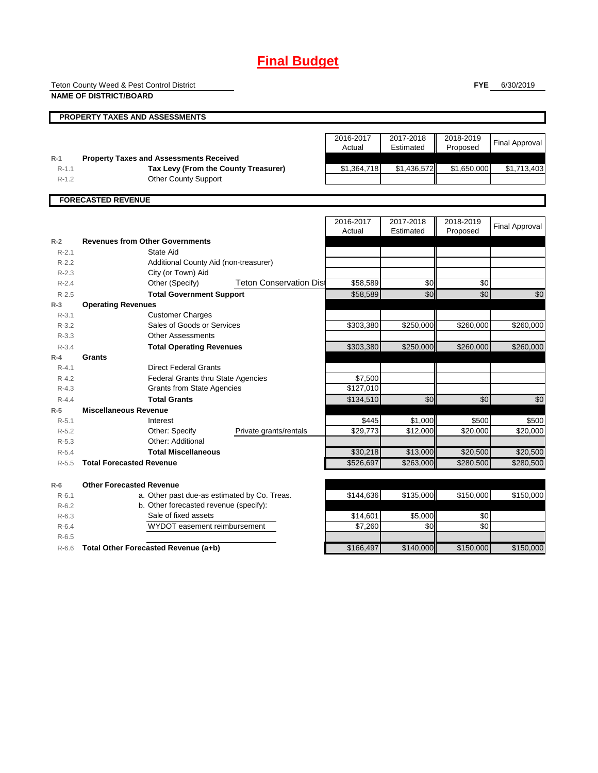# **Final Budget**

Teton County Weed & Pest Control District

**FYE** 6/30/2019

|                    | <b>NAME OF DISTRICT/BOARD</b>                  |                                |                     |                        |                       |                       |
|--------------------|------------------------------------------------|--------------------------------|---------------------|------------------------|-----------------------|-----------------------|
|                    | PROPERTY TAXES AND ASSESSMENTS                 |                                |                     |                        |                       |                       |
|                    |                                                |                                | 2016-2017<br>Actual | 2017-2018<br>Estimated | 2018-2019<br>Proposed | <b>Final Approval</b> |
| $R-1$              | <b>Property Taxes and Assessments Received</b> |                                |                     |                        |                       |                       |
| $R-1.1$            | Tax Levy (From the County Treasurer)           |                                | \$1,364,718         | \$1,436,572            | \$1,650,000           | \$1,713,403           |
| $R-1.2$            | <b>Other County Support</b>                    |                                |                     |                        |                       |                       |
|                    | <b>FORECASTED REVENUE</b>                      |                                |                     |                        |                       |                       |
|                    |                                                |                                | 2016-2017<br>Actual | 2017-2018<br>Estimated | 2018-2019<br>Proposed | <b>Final Approval</b> |
| $R-2$              | <b>Revenues from Other Governments</b>         |                                |                     |                        |                       |                       |
| $R - 2.1$          | State Aid                                      |                                |                     |                        |                       |                       |
| $R-2.2$            | Additional County Aid (non-treasurer)          |                                |                     |                        |                       |                       |
| $R-2.3$            | City (or Town) Aid                             |                                |                     |                        |                       |                       |
| $R - 2.4$          | Other (Specify)                                | <b>Teton Conservation Dist</b> | \$58,589            | \$0                    | \$0                   |                       |
| $R-2.5$            | <b>Total Government Support</b>                |                                | \$58,589            | \$0                    | \$0                   | \$0                   |
| $R-3$              | <b>Operating Revenues</b>                      |                                |                     |                        |                       |                       |
| $R - 3.1$          | <b>Customer Charges</b>                        |                                |                     |                        |                       |                       |
| $R - 3.2$          | Sales of Goods or Services                     |                                | \$303,380           | \$250,000              | \$260,000             | \$260,000             |
| $R - 3.3$          | <b>Other Assessments</b>                       |                                |                     |                        |                       |                       |
| $R - 3.4$          | <b>Total Operating Revenues</b>                |                                | \$303,380           | \$250,000              | \$260,000             | \$260,000             |
| $R-4$<br>$R - 4.1$ | <b>Grants</b><br><b>Direct Federal Grants</b>  |                                |                     |                        |                       |                       |
| $R - 4.2$          | <b>Federal Grants thru State Agencies</b>      |                                | \$7,500             |                        |                       |                       |
| $R - 4.3$          | <b>Grants from State Agencies</b>              |                                | \$127,010           |                        |                       |                       |
| $R - 4.4$          | <b>Total Grants</b>                            |                                | \$134,510           | \$0                    | \$0                   | \$0                   |
| $R-5$              | <b>Miscellaneous Revenue</b>                   |                                |                     |                        |                       |                       |
| $R - 5.1$          | Interest                                       |                                | \$445               | \$1,000                | \$500                 | \$500                 |
| $R-5.2$            | Other: Specify                                 | Private grants/rentals         | \$29,773            | \$12,000               | \$20,000              | \$20,000              |
| $R-5.3$            | Other: Additional                              |                                |                     |                        |                       |                       |
| $R-5.4$            | <b>Total Miscellaneous</b>                     |                                | \$30,218            | \$13,000               | \$20,500              | \$20,500              |
| $R-5.5$            | <b>Total Forecasted Revenue</b>                |                                | \$526,697           | \$263,000              | \$280,500             | \$280,500             |
| $R-6$              | <b>Other Forecasted Revenue</b>                |                                |                     |                        |                       |                       |
| $R - 6.1$          | a. Other past due-as estimated by Co. Treas.   |                                | \$144,636           | \$135,000              | \$150,000             | \$150,000             |
| $R-6.2$            | b. Other forecasted revenue (specify):         |                                |                     |                        |                       |                       |
| $R-6.3$            | Sale of fixed assets                           |                                | \$14,601            | \$5,000                | \$0                   |                       |
| $R-6.4$            | WYDOT easement reimbursement                   |                                | \$7,260             | \$0                    | \$0                   |                       |
| $R-6.5$            |                                                |                                |                     |                        |                       |                       |
| $R-6.6$            | Total Other Forecasted Revenue (a+b)           |                                | \$166,497           | \$140,000              | \$150,000             | \$150,000             |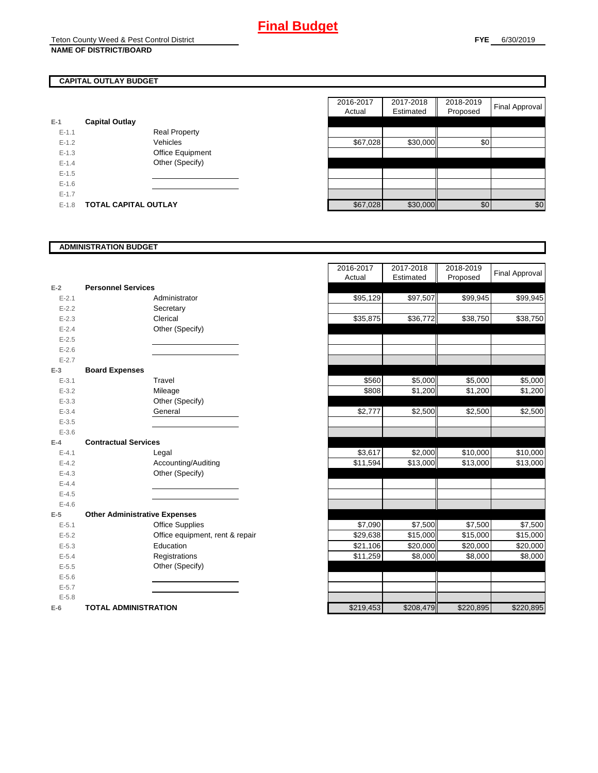# **CAPITAL OUTLAY BUDGET**

| $E-1$     | <b>Capital Outlay</b> |                         |
|-----------|-----------------------|-------------------------|
| $E - 1.1$ |                       | <b>Real Property</b>    |
| $F-12$    |                       | Vehicles                |
| $E - 1.3$ |                       | <b>Office Equipment</b> |
| $F-14$    |                       | Other (Specify)         |
| $E - 1.5$ |                       |                         |
| $E - 1.6$ |                       |                         |
| $E - 1.7$ |                       |                         |
| F-18      | TOTAL CAPITAL OUTLAY  |                         |

|           |                             |                      | 2016-2017 | 2017-2018 | 2018-2019 |                |
|-----------|-----------------------------|----------------------|-----------|-----------|-----------|----------------|
|           |                             |                      | Actual    | Estimated | Proposed  | Final Approval |
|           | <b>Capital Outlay</b>       |                      |           |           |           |                |
| $E-1.1$   |                             | <b>Real Property</b> |           |           |           |                |
| $E-1.2$   |                             | Vehicles             | \$67,028  | \$30,000  | \$0       |                |
| $E-1.3$   |                             | Office Equipment     |           |           |           |                |
| $E - 1.4$ |                             | Other (Specify)      |           |           |           |                |
| $E-1.5$   |                             |                      |           |           |           |                |
| $E-1.6$   |                             |                      |           |           |           |                |
| $E - 1.7$ |                             |                      |           |           |           |                |
| $E-1.8$   | <b>TOTAL CAPITAL OUTLAY</b> |                      | \$67,028  | \$30,000  | \$0       | \$0            |

#### **ADMINISTRATION BUDGET**

| $E-2$     | <b>Personnel Services</b>            |                              |
|-----------|--------------------------------------|------------------------------|
| $E - 2.1$ |                                      | Administrator                |
| $E - 2.2$ |                                      | Secretary                    |
| $E - 2.3$ |                                      | Clerical                     |
| $E - 2.4$ |                                      | Other (Specify)              |
| $E - 2.5$ |                                      |                              |
| $E - 2.6$ |                                      |                              |
| $E - 2.7$ |                                      |                              |
| $E-3$     | <b>Board Expenses</b>                |                              |
| $E - 3.1$ |                                      | Travel                       |
| $E - 3.2$ |                                      | Mileage                      |
| $E - 3.3$ |                                      | Other (Specify)              |
| $E - 3.4$ |                                      | General                      |
| $E - 3.5$ |                                      |                              |
| $E - 3.6$ |                                      |                              |
| $E-4$     | <b>Contractual Services</b>          |                              |
| $E - 4.1$ |                                      | Legal                        |
| $E - 4.2$ |                                      | Accounting/Auditing          |
| $E - 4.3$ |                                      | Other (Specify)              |
| $E - 4.4$ |                                      |                              |
| $E - 4.5$ |                                      |                              |
| $E - 4.6$ |                                      |                              |
| $E-5$     | <b>Other Administrative Expenses</b> |                              |
| $E - 5.1$ |                                      | <b>Office Supplies</b>       |
| $E - 5.2$ |                                      | Office equipment, rent & rep |
| $E - 5.3$ |                                      | Education                    |
| $E - 5.4$ |                                      | Registrations                |
| $E - 5.5$ |                                      | Other (Specify)              |
| $E - 5.6$ |                                      |                              |
| $E - 5.7$ |                                      |                              |
| $E - 5.8$ |                                      |                              |
| $E-6$     | <b>TOTAL ADMINISTRATION</b>          |                              |

| $E-2$     | <b>Personnel Services</b>            | 2016-2017<br>Actual | 2017-2018 | 2018-2019 |                       |
|-----------|--------------------------------------|---------------------|-----------|-----------|-----------------------|
|           |                                      |                     |           |           | <b>Final Approval</b> |
|           |                                      |                     | Estimated | Proposed  |                       |
| $E - 2.1$ | Administrator                        |                     |           |           |                       |
| $E - 2.2$ |                                      | \$95,129            | \$97,507  | \$99,945  | \$99,945              |
|           | Secretary<br>Clerical                |                     |           |           |                       |
| $E - 2.3$ |                                      | \$35,875            | \$36,772  | \$38,750  | \$38,750              |
| $E - 2.4$ | Other (Specify)                      |                     |           |           |                       |
| $E - 2.5$ |                                      |                     |           |           |                       |
| $E-2.6$   |                                      |                     |           |           |                       |
| $E - 2.7$ |                                      |                     |           |           |                       |
| $E-3$     | <b>Board Expenses</b>                |                     |           |           |                       |
| $E - 3.1$ | Travel                               | \$560               | \$5,000   | \$5,000   | \$5,000               |
| $E - 3.2$ | Mileage                              | \$808               | \$1,200   | \$1,200   | \$1,200               |
| $E - 3.3$ | Other (Specify)                      |                     |           |           |                       |
| $E - 3.4$ | General                              | \$2,777             | \$2,500   | \$2,500   | \$2,500               |
| $E - 3.5$ |                                      |                     |           |           |                       |
| $E - 3.6$ |                                      |                     |           |           |                       |
| $E-4$     | <b>Contractual Services</b>          |                     |           |           |                       |
| $E - 4.1$ | Legal                                | \$3,617             | \$2,000   | \$10,000  | \$10,000              |
| $E - 4.2$ | Accounting/Auditing                  | \$11,594            | \$13,000  | \$13,000  | $\overline{$}13,000$  |
| $E - 4.3$ | Other (Specify)                      |                     |           |           |                       |
| $E-4.4$   |                                      |                     |           |           |                       |
| $E-4.5$   |                                      |                     |           |           |                       |
| $E - 4.6$ |                                      |                     |           |           |                       |
| $E-5$     | <b>Other Administrative Expenses</b> |                     |           |           |                       |
| $E - 5.1$ | <b>Office Supplies</b>               | \$7,090             | \$7,500   | \$7,500   | \$7,500               |
| $E - 5.2$ | Office equipment, rent & repair      | \$29,638            | \$15,000  | \$15,000  | \$15,000              |
| $E - 5.3$ | Education                            | \$21,106            | \$20,000  | \$20,000  | \$20,000              |
| $E - 5.4$ | Registrations                        | \$11,259            | \$8,000   | \$8,000   | \$8,000               |
| $E - 5.5$ | Other (Specify)                      |                     |           |           |                       |
| $E-5.6$   |                                      |                     |           |           |                       |
| $E - 5.7$ |                                      |                     |           |           |                       |
| $E - 5.8$ |                                      |                     |           |           |                       |
| $E-6$     | <b>TOTAL ADMINISTRATION</b>          | \$219,453           | \$208,479 | \$220,895 | \$220,895             |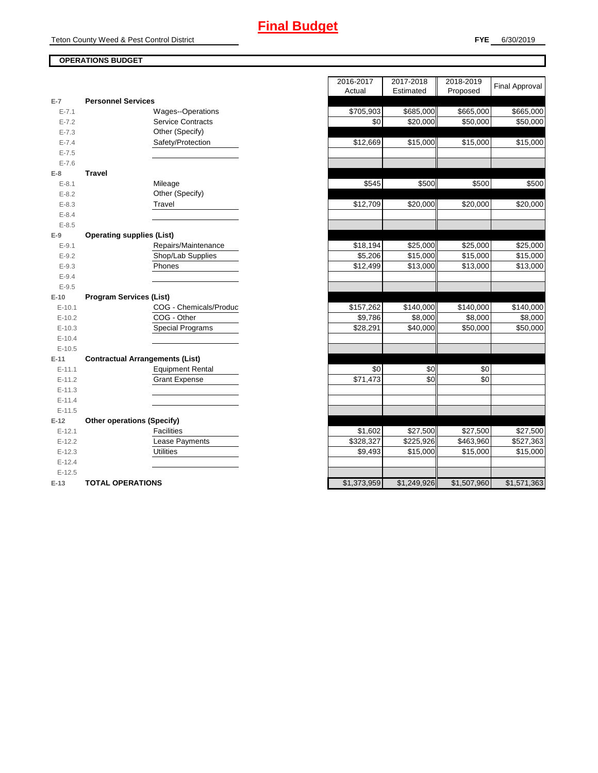### **FYE** 6/30/2019

### **OPERATIONS BUDGET**

| $E-7$     | <b>Personnel Services</b>              |             |             |             |
|-----------|----------------------------------------|-------------|-------------|-------------|
| $E - 7.1$ | Wages--Operations                      | \$705,903   | \$685,000   | \$665,000   |
| $E - 7.2$ | <b>Service Contracts</b>               | \$0         | \$20,000    | \$50,000    |
| $E - 7.3$ | Other (Specify)                        |             |             |             |
| $E - 7.4$ | Safety/Protection                      | \$12,669    | \$15,000    | \$15,000    |
| $E - 7.5$ |                                        |             |             |             |
| $E - 7.6$ |                                        |             |             |             |
| $E-8$     | <b>Travel</b>                          |             |             |             |
| $E - 8.1$ | Mileage                                | \$545       | \$500       | \$500       |
| $E - 8.2$ | Other (Specify)                        |             |             |             |
| $E - 8.3$ | Travel                                 | \$12,709    | \$20,000    | \$20,000    |
| $E - 8.4$ |                                        |             |             |             |
| $E - 8.5$ |                                        |             |             |             |
| $E-9$     | <b>Operating supplies (List)</b>       |             |             |             |
| $E - 9.1$ | Repairs/Maintenance                    | \$18,194    | \$25,000    | \$25,000    |
| $E-9.2$   | Shop/Lab Supplies                      | \$5,206     | \$15,000    | \$15,000    |
| $E - 9.3$ | Phones                                 | \$12,499    | \$13,000    | \$13,000    |
| $E - 9.4$ |                                        |             |             |             |
| $E-9.5$   |                                        |             |             |             |
| $E-10$    | <b>Program Services (List)</b>         |             |             |             |
| $E-10.1$  | COG - Chemicals/Produc                 | \$157,262   | \$140,000   | \$140,000   |
| $E-10.2$  | COG - Other                            | \$9,786     | \$8,000     | \$8,000     |
| $E-10.3$  | <b>Special Programs</b>                | \$28,291    | \$40,000    | \$50,000    |
| $E-10.4$  |                                        |             |             |             |
| $E-10.5$  |                                        |             |             |             |
| $E-11$    | <b>Contractual Arrangements (List)</b> |             |             |             |
| $E-11.1$  | <b>Equipment Rental</b>                | \$0         | \$0         | \$0         |
| $E-11.2$  | <b>Grant Expense</b>                   | \$71,473    | \$0         | \$0         |
| $E-11.3$  |                                        |             |             |             |
| $E-11.4$  |                                        |             |             |             |
| $E-11.5$  |                                        |             |             |             |
| $E-12$    | <b>Other operations (Specify)</b>      |             |             |             |
| $E-12.1$  | <b>Facilities</b>                      | \$1,602     | \$27,500    | \$27,500    |
| $E-12.2$  | Lease Payments                         | \$328,327   | \$225,926   | \$463,960   |
| $E-12.3$  | <b>Utilities</b>                       | \$9,493     | \$15,000    | \$15,000    |
| $E-12.4$  |                                        |             |             |             |
| $E-12.5$  |                                        |             |             |             |
| $E-13$    | <b>TOTAL OPERATIONS</b>                | \$1,373,959 | \$1,249,926 | \$1,507,960 |

|                |                                        | 2016-2017<br>Actual | 2017-2018<br>Estimated | 2018-2019<br>Proposed | <b>Final Approval</b> |
|----------------|----------------------------------------|---------------------|------------------------|-----------------------|-----------------------|
| $\overline{7}$ | <b>Personnel Services</b>              |                     |                        |                       |                       |
| $E - 7.1$      | Wages--Operations                      | \$705,903           | \$685,000              | \$665,000             | \$665,000             |
| $E - 7.2$      | <b>Service Contracts</b>               | \$0                 | \$20,000               | \$50,000              | $\overline{$}50,000$  |
| $E - 7.3$      | Other (Specify)                        |                     |                        |                       |                       |
| $E - 7.4$      | Safety/Protection                      | \$12,669            | \$15,000               | \$15,000              | \$15,000              |
| $E - 7.5$      |                                        |                     |                        |                       |                       |
| $E - 7.6$      |                                        |                     |                        |                       |                       |
| 8              | <b>Travel</b>                          |                     |                        |                       |                       |
| $E - 8.1$      | Mileage                                | \$545               | \$500                  | \$500                 | \$500                 |
| $E - 8.2$      | Other (Specify)                        |                     |                        |                       |                       |
| $E - 8.3$      | Travel                                 | \$12,709            | \$20,000               | \$20,000              | \$20,000              |
| $E - 8.4$      |                                        |                     |                        |                       |                       |
| $E - 8.5$      |                                        |                     |                        |                       |                       |
| 9              | <b>Operating supplies (List)</b>       |                     |                        |                       |                       |
| $E - 9.1$      | Repairs/Maintenance                    | \$18,194            | \$25,000               | \$25,000              | \$25,000              |
| $E-9.2$        | Shop/Lab Supplies                      | \$5,206             | \$15,000               | \$15,000              | \$15,000              |
| $E - 9.3$      | Phones                                 | \$12,499            | \$13,000               | \$13,000              | \$13,000              |
| $E - 9.4$      |                                        |                     |                        |                       |                       |
| $E - 9.5$      |                                        |                     |                        |                       |                       |
| 10             | <b>Program Services (List)</b>         |                     |                        |                       |                       |
| $E-10.1$       | COG - Chemicals/Produc                 | \$157,262           | \$140,000              | \$140,000             | \$140,000             |
| $E-10.2$       | COG - Other                            | \$9,786             | \$8,000                | \$8,000               | \$8,000               |
| $E-10.3$       | <b>Special Programs</b>                | \$28,291            | \$40,000               | \$50,000              | \$50,000              |
| $E-10.4$       |                                        |                     |                        |                       |                       |
| $E-10.5$       |                                        |                     |                        |                       |                       |
| $-11$          | <b>Contractual Arrangements (List)</b> |                     |                        |                       |                       |
| $E-11.1$       | <b>Equipment Rental</b>                | \$0                 | \$0                    | \$0                   |                       |
| $E-11.2$       | <b>Grant Expense</b>                   | \$71,473            | \$0                    | \$0                   |                       |
| $E-11.3$       |                                        |                     |                        |                       |                       |
| $E-11.4$       |                                        |                     |                        |                       |                       |
| $E-11.5$       |                                        |                     |                        |                       |                       |
| 12             | <b>Other operations (Specify)</b>      |                     |                        |                       |                       |
| $E-12.1$       | <b>Facilities</b>                      | \$1,602             | \$27,500               | \$27,500              | \$27,500              |
| $E-12.2$       | Lease Payments                         | \$328,327           | \$225,926              | \$463,960             | \$527,363             |
| $E-12.3$       | <b>Utilities</b>                       | \$9,493             | \$15,000               | \$15,000              | \$15,000              |
| $E-12.4$       |                                        |                     |                        |                       |                       |
| $E-12.5$       |                                        | \$1,373,959         | \$1,249,926            | \$1.507.960           | \$1.571.363           |
| $-13$          | <b>TOTAL OPERATIONS</b>                |                     |                        |                       |                       |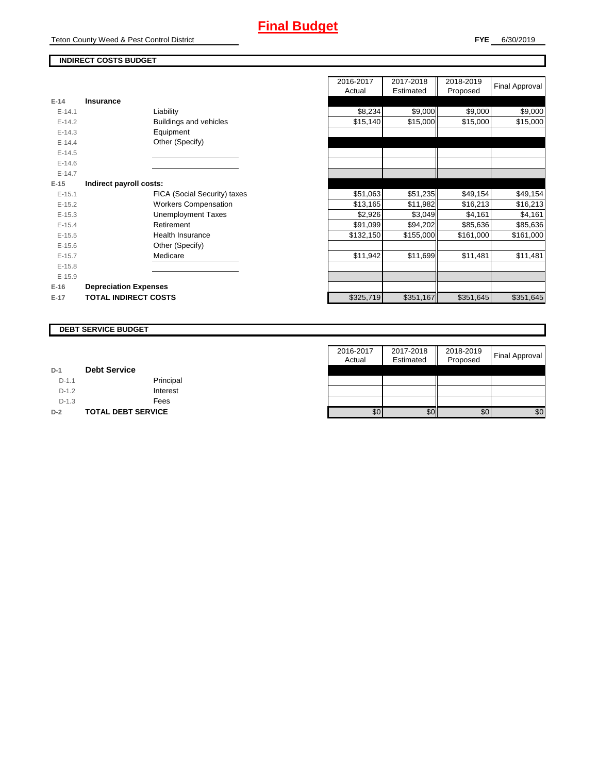Teton County Weed & Pest Control District

### **INDIRECT COSTS BUDGET**

| E-14       | Insurance                    |
|------------|------------------------------|
| $F-141$    | Liability                    |
| $F-142$    | Buildings and vehicles       |
| $F-14.3$   | Equipment                    |
| $E-14.4$   | Other (Specify)              |
| $E-14.5$   |                              |
| $F-146$    |                              |
| $F-147$    |                              |
| E-15       | Indirect payroll costs:      |
| $E - 15.1$ | FICA (Social Security) taxes |
| $E-15.2$   | <b>Workers Compensation</b>  |
| $E-15.3$   | Unemployment Taxes           |
| $E-15.4$   | Retirement                   |
| $E-15.5$   | Health Insurance             |
| $E - 15.6$ | Other (Specify)              |
| $E-15.7$   | Medicare                     |
| $E-15.8$   |                              |
| $E-15.9$   |                              |
| $E-16$     | <b>Depreciation Expenses</b> |
| $E-17$     | <b>TOTAL INDIRECT COSTS</b>  |

|                              | 2016-2017<br>Actual | 2017-2018<br>Estimated | 2018-2019<br>Proposed | Final Approval                                                                                                                                                                                |
|------------------------------|---------------------|------------------------|-----------------------|-----------------------------------------------------------------------------------------------------------------------------------------------------------------------------------------------|
| <b>Insurance</b>             |                     |                        |                       |                                                                                                                                                                                               |
| Liability                    | \$8,234             |                        |                       | \$9,000                                                                                                                                                                                       |
| Buildings and vehicles       | \$15,140            |                        |                       | \$15,000                                                                                                                                                                                      |
| Equipment                    |                     |                        |                       |                                                                                                                                                                                               |
| Other (Specify)              |                     |                        |                       |                                                                                                                                                                                               |
|                              |                     |                        |                       |                                                                                                                                                                                               |
|                              |                     |                        |                       |                                                                                                                                                                                               |
|                              |                     |                        |                       |                                                                                                                                                                                               |
| Indirect payroll costs:      |                     |                        |                       |                                                                                                                                                                                               |
| FICA (Social Security) taxes | \$51,063            |                        |                       | \$49,154                                                                                                                                                                                      |
| <b>Workers Compensation</b>  | \$13,165            |                        |                       | \$16,213                                                                                                                                                                                      |
| <b>Unemployment Taxes</b>    | \$2,926             |                        | \$4,161               | \$4,161                                                                                                                                                                                       |
| Retirement                   | \$91,099            |                        |                       | \$85,636                                                                                                                                                                                      |
| Health Insurance             | \$132,150           |                        |                       | \$161,000                                                                                                                                                                                     |
| Other (Specify)              |                     |                        |                       |                                                                                                                                                                                               |
| Medicare                     | \$11,942            |                        | \$11,481              | \$11,481                                                                                                                                                                                      |
|                              |                     |                        |                       |                                                                                                                                                                                               |
|                              |                     |                        |                       |                                                                                                                                                                                               |
| <b>Depreciation Expenses</b> |                     |                        |                       |                                                                                                                                                                                               |
| <b>TOTAL INDIRECT COSTS</b>  | \$325,719           |                        |                       | \$351,645                                                                                                                                                                                     |
|                              |                     |                        |                       | \$9,000<br>\$9,000<br>\$15,000<br>\$15,000<br>\$51,235<br>\$49,154<br>\$11,982<br>\$16,213<br>\$3,049<br>\$94,202<br>\$85,636<br>\$155,000<br>\$161,000<br>\$11,699<br>\$351,167<br>\$351,645 |

#### **DEBT SERVICE BUDGET**

|         |                           | 2016-2017 | 2017-2018 | 2018-2019 |                       |
|---------|---------------------------|-----------|-----------|-----------|-----------------------|
|         |                           | Actual    | Estimated | Proposed  | <b>Final Approval</b> |
| $D-1$   | <b>Debt Service</b>       |           |           |           |                       |
| $D-1.1$ | Principal                 |           |           |           |                       |
| $D-1.2$ | Interest                  |           |           |           |                       |
| $D-1.3$ | Fees                      |           |           |           |                       |
| $D-2$   | <b>TOTAL DEBT SERVICE</b> | \$0       | \$0       | \$0       | \$0                   |